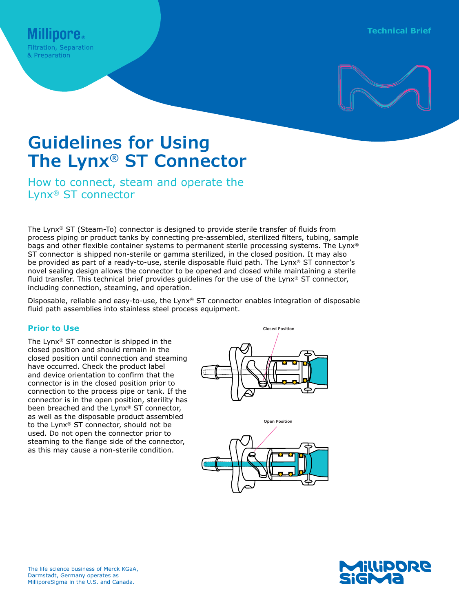

# **Guidelines for Using The Lynx® ST Connector**

How to connect, steam and operate the Lynx® ST connector

The Lynx® ST (Steam-To) connector is designed to provide sterile transfer of fluids from process piping or product tanks by connecting pre-assembled, sterilized filters, tubing, sample bags and other flexible container systems to permanent sterile processing systems. The Lynx® ST connector is shipped non-sterile or gamma sterilized, in the closed position. It may also be provided as part of a ready-to-use, sterile disposable fluid path. The Lynx® ST connector's novel sealing design allows the connector to be opened and closed while maintaining a sterile fluid transfer. This technical brief provides guidelines for the use of the Lynx® ST connector, including connection, steaming, and operation.

Disposable, reliable and easy-to-use, the Lynx® ST connector enables integration of disposable fluid path assemblies into stainless steel process equipment.

# **Prior to Use**

The Lynx® ST connector is shipped in the closed position and should remain in the closed position until connection and steaming have occurred. Check the product label and device orientation to confirm that the connector is in the closed position prior to connection to the process pipe or tank. If the connector is in the open position, sterility has been breached and the Lynx® ST connector, as well as the disposable product assembled to the Lynx® ST connector, should not be used. Do not open the connector prior to steaming to the flange side of the connector, as this may cause a non-sterile condition.